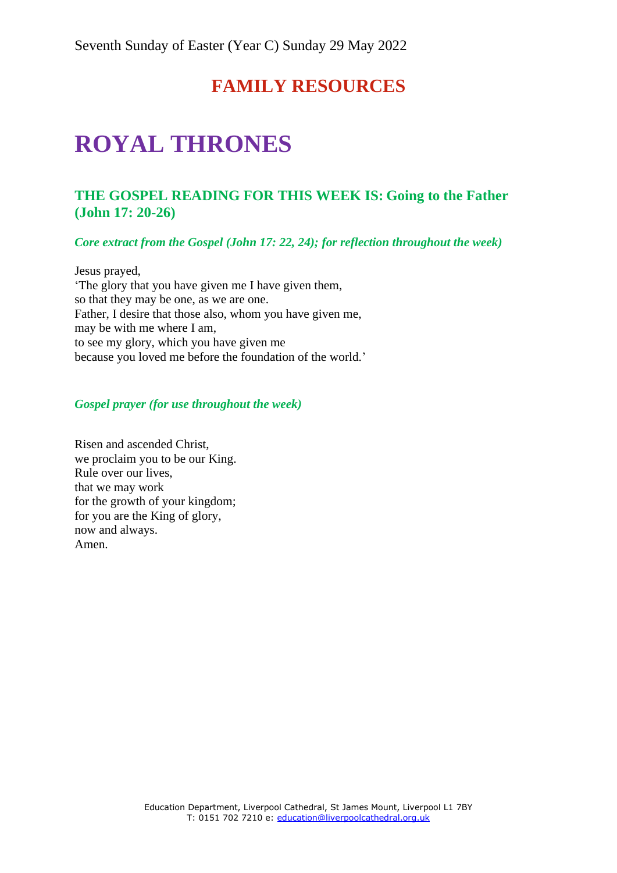# **FAMILY RESOURCES**

# **ROYAL THRONES**

## **THE GOSPEL READING FOR THIS WEEK IS: Going to the Father (John 17: 20-26)**

*Core extract from the Gospel (John 17: 22, 24); for reflection throughout the week)*

Jesus prayed, 'The glory that you have given me I have given them, so that they may be one, as we are one. Father, I desire that those also, whom you have given me, may be with me where I am, to see my glory, which you have given me because you loved me before the foundation of the world.'

#### *Gospel prayer (for use throughout the week)*

Risen and ascended Christ, we proclaim you to be our King. Rule over our lives, that we may work for the growth of your kingdom; for you are the King of glory, now and always. Amen.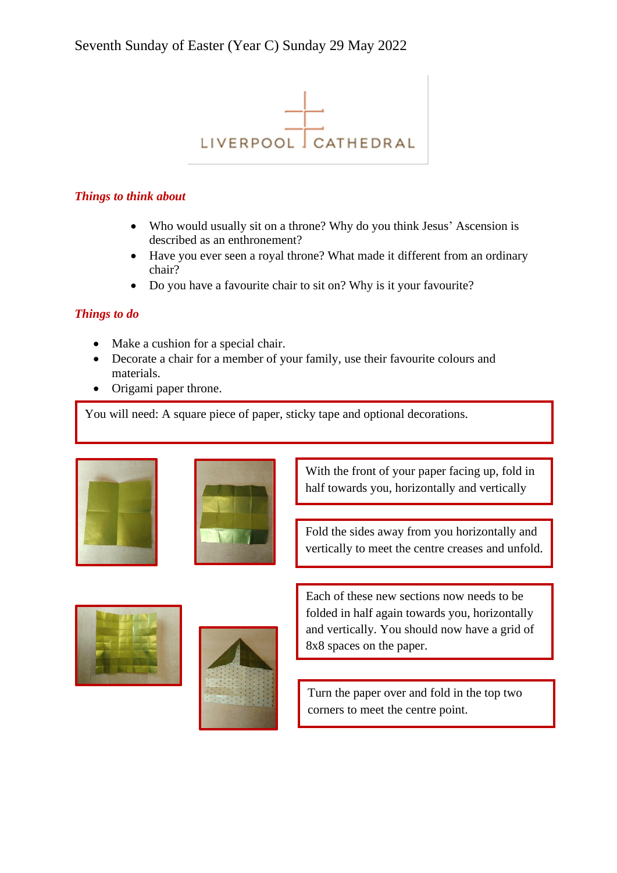

#### *Things to think about*

- Who would usually sit on a throne? Why do you think Jesus' Ascension is described as an enthronement?
- Have you ever seen a royal throne? What made it different from an ordinary chair?

and unfold.

• Do you have a favourite chair to sit on? Why is it your favourite?

### *Things to do*

- Make a cushion for a special chair.
- Decorate a chair for a member of your family, use their favourite colours and materials.
- Origami paper throne.

You will need: A square piece of paper, sticky tape and optional decorations.





With the front of your paper facing up, fold in half towards you, horizontally and vertically

Fold the sides away from you horizontally and vertically to meet the centre creases and unfold.





Each of these new sections now needs to be folded in half again towards you, horizontally and vertically. You should now have a grid of 8x8 spaces on the paper.

Turn the paper over and fold in the top two corners to meet the centre point.